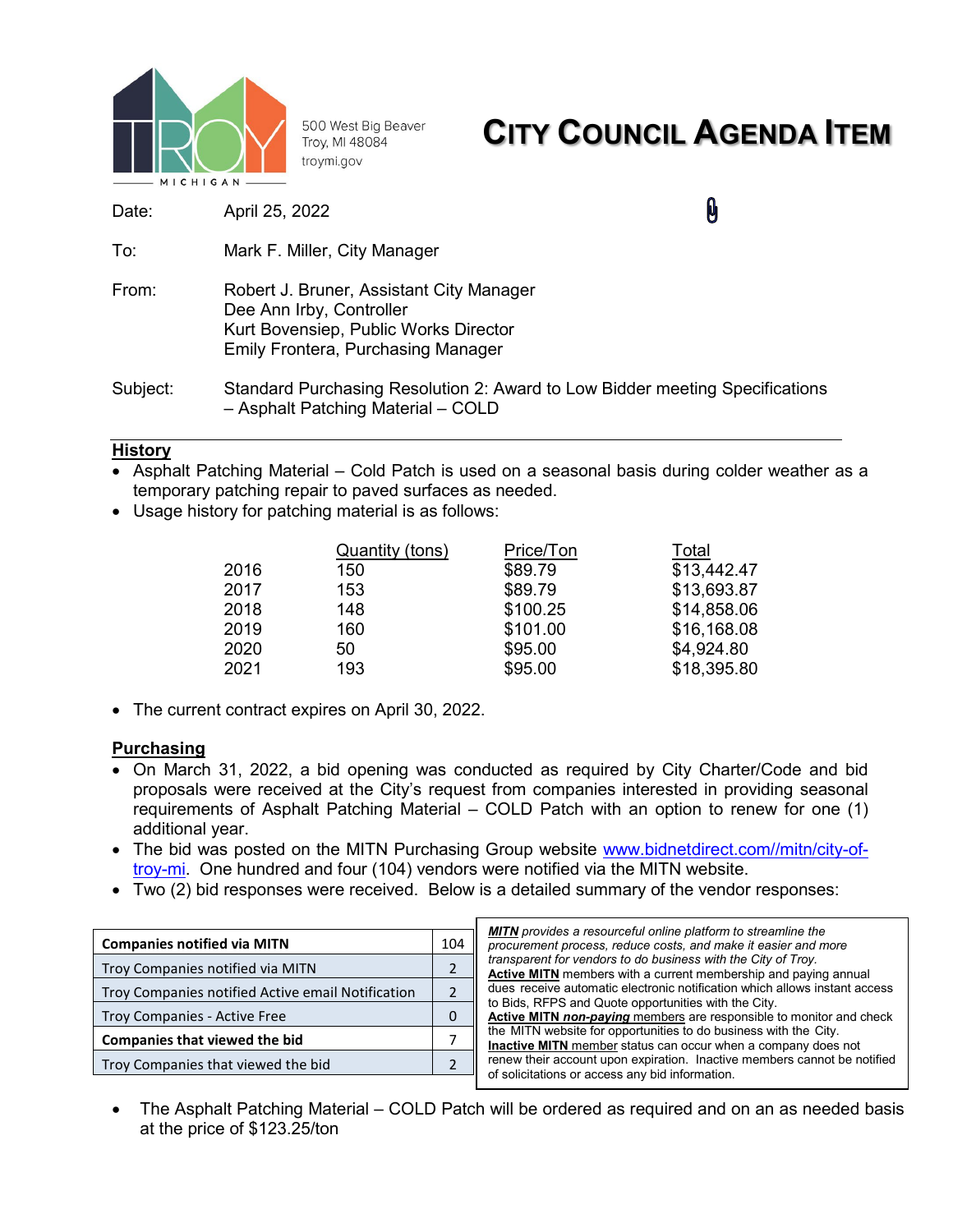

500 West Big Beaver Troy, MI 48084 troymi.gov

# **CITY COUNCIL AGENDA ITEM**

Date: April 25, 2022

**Q** 

- To: Mark F. Miller, City Manager
- From: Robert J. Bruner, Assistant City Manager Dee Ann Irby, Controller Kurt Bovensiep, Public Works Director Emily Frontera, Purchasing Manager
- Subject: Standard Purchasing Resolution 2: Award to Low Bidder meeting Specifications – Asphalt Patching Material – COLD

### **History**

- Asphalt Patching Material Cold Patch is used on a seasonal basis during colder weather as a temporary patching repair to paved surfaces as needed.
- Usage history for patching material is as follows:

|      | <b>Quantity (tons)</b> | Price/Ton | Total       |  |  |
|------|------------------------|-----------|-------------|--|--|
| 2016 | 150                    | \$89.79   | \$13,442.47 |  |  |
| 2017 | 153                    | \$89.79   | \$13,693.87 |  |  |
| 2018 | 148                    | \$100.25  | \$14,858.06 |  |  |
| 2019 | 160                    | \$101.00  | \$16,168.08 |  |  |
| 2020 | 50                     | \$95.00   | \$4,924.80  |  |  |
| 2021 | 193                    | \$95.00   | \$18,395.80 |  |  |

• The current contract expires on April 30, 2022.

### **Purchasing**

- On March 31, 2022, a bid opening was conducted as required by City Charter/Code and bid proposals were received at the City's request from companies interested in providing seasonal requirements of Asphalt Patching Material – COLD Patch with an option to renew for one (1) additional year.
- The bid was posted on the MITN Purchasing Group website [www.bidnetdirect.com//mitn/city-of](http://www.bidnetdirect.com/mitn/city-of-troy-mi)[troy-mi.](http://www.bidnetdirect.com/mitn/city-of-troy-mi) One hundred and four (104) vendors were notified via the MITN website.
- Two (2) bid responses were received. Below is a detailed summary of the vendor responses:

| 104 |
|-----|
|     |
|     |
|     |
|     |
|     |
|     |

| <b>MITN</b> provides a resourceful online platform to streamline the       |
|----------------------------------------------------------------------------|
| procurement process, reduce costs, and make it easier and more             |
| transparent for vendors to do business with the City of Troy.              |
| <b>Active MITN</b> members with a current membership and paying annual     |
| dues receive automatic electronic notification which allows instant access |
| to Bids, RFPS and Quote opportunities with the City.                       |
| <b>Active MITN non-paying</b> members are responsible to monitor and check |
| the MITN website for opportunities to do business with the City.           |
| <b>Inactive MITN</b> member status can occur when a company does not       |
| renew their account upon expiration. Inactive members cannot be notified   |
| of solicitations or access any bid information.                            |
|                                                                            |

• The Asphalt Patching Material – COLD Patch will be ordered as required and on an as needed basis at the price of \$123.25/ton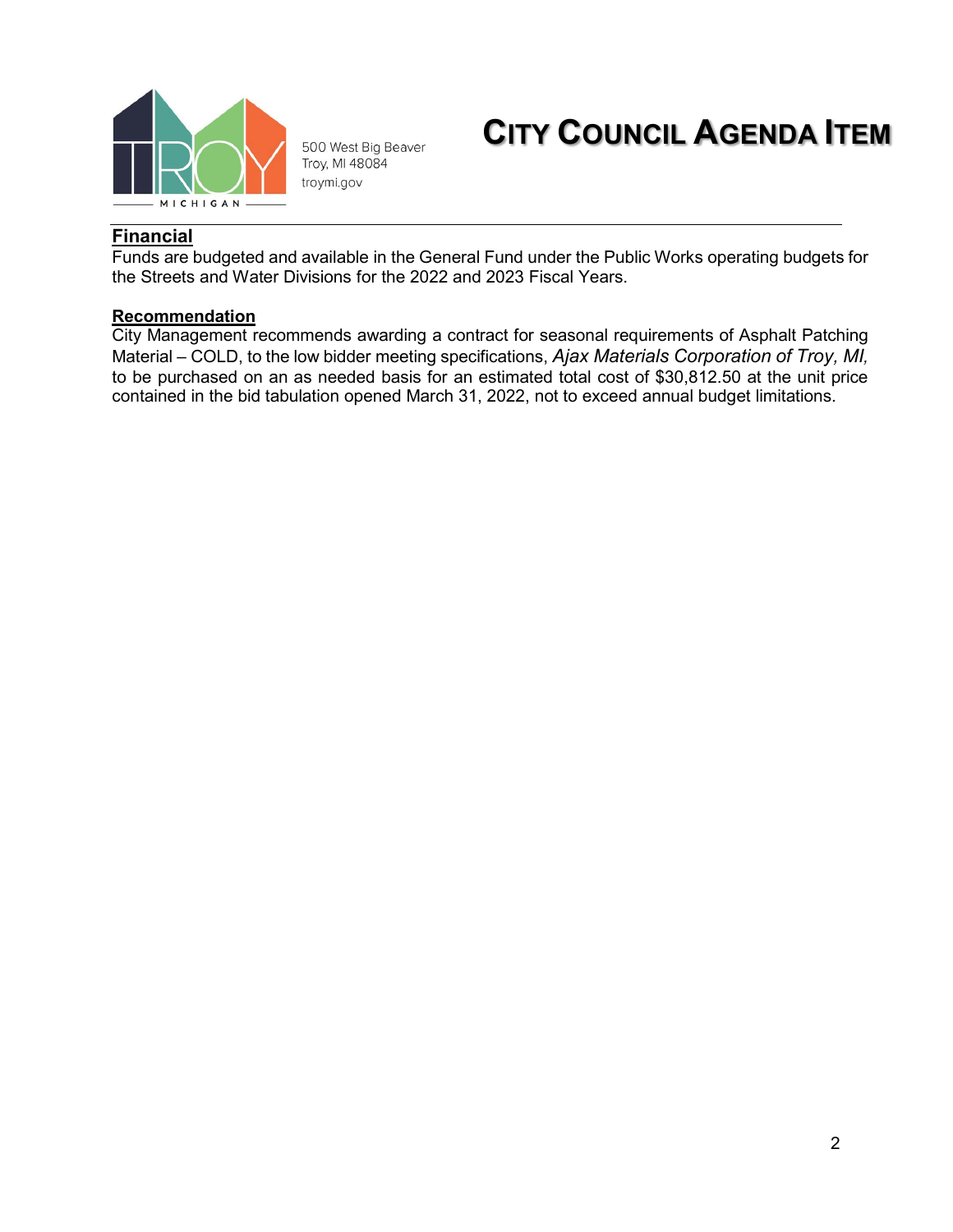

500 West Big Beaver Troy, MI 48084 troymi.gov

## **CITY COUNCIL AGENDA ITEM**

### **Financial**

Funds are budgeted and available in the General Fund under the Public Works operating budgets for the Streets and Water Divisions for the 2022 and 2023 Fiscal Years.

### **Recommendation**

City Management recommends awarding a contract for seasonal requirements of Asphalt Patching Material – COLD, to the low bidder meeting specifications, *Ajax Materials Corporation of Troy, MI,* to be purchased on an as needed basis for an estimated total cost of \$30,812.50 at the unit price contained in the bid tabulation opened March 31, 2022, not to exceed annual budget limitations.